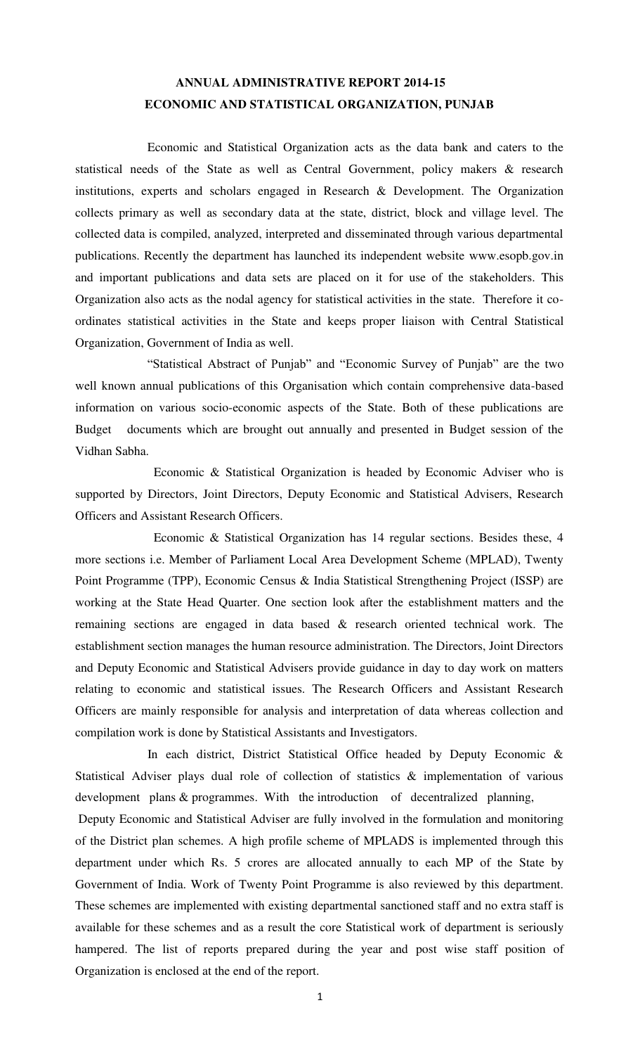## **ANNUAL ADMINISTRATIVE REPORT 2014-15 ECONOMIC AND STATISTICAL ORGANIZATION, PUNJAB**

 Economic and Statistical Organization acts as the data bank and caters to the statistical needs of the State as well as Central Government, policy makers & research institutions, experts and scholars engaged in Research & Development. The Organization collects primary as well as secondary data at the state, district, block and village level. The collected data is compiled, analyzed, interpreted and disseminated through various departmental publications. Recently the department has launched its independent website www.esopb.gov.in and important publications and data sets are placed on it for use of the stakeholders. This Organization also acts as the nodal agency for statistical activities in the state. Therefore it coordinates statistical activities in the State and keeps proper liaison with Central Statistical Organization, Government of India as well.

 "Statistical Abstract of Punjab" and "Economic Survey of Punjab" are the two well known annual publications of this Organisation which contain comprehensive data-based information on various socio-economic aspects of the State. Both of these publications are Budget documents which are brought out annually and presented in Budget session of the Vidhan Sabha.

 Economic & Statistical Organization is headed by Economic Adviser who is supported by Directors, Joint Directors, Deputy Economic and Statistical Advisers, Research Officers and Assistant Research Officers.

 Economic & Statistical Organization has 14 regular sections. Besides these, 4 more sections i.e. Member of Parliament Local Area Development Scheme (MPLAD), Twenty Point Programme (TPP), Economic Census & India Statistical Strengthening Project (ISSP) are working at the State Head Quarter. One section look after the establishment matters and the remaining sections are engaged in data based & research oriented technical work. The establishment section manages the human resource administration. The Directors, Joint Directors and Deputy Economic and Statistical Advisers provide guidance in day to day work on matters relating to economic and statistical issues. The Research Officers and Assistant Research Officers are mainly responsible for analysis and interpretation of data whereas collection and compilation work is done by Statistical Assistants and Investigators.

 In each district, District Statistical Office headed by Deputy Economic & Statistical Adviser plays dual role of collection of statistics & implementation of various development plans & programmes. With the introduction of decentralized planning,

 Deputy Economic and Statistical Adviser are fully involved in the formulation and monitoring of the District plan schemes. A high profile scheme of MPLADS is implemented through this department under which Rs. 5 crores are allocated annually to each MP of the State by Government of India. Work of Twenty Point Programme is also reviewed by this department. These schemes are implemented with existing departmental sanctioned staff and no extra staff is available for these schemes and as a result the core Statistical work of department is seriously hampered. The list of reports prepared during the year and post wise staff position of Organization is enclosed at the end of the report.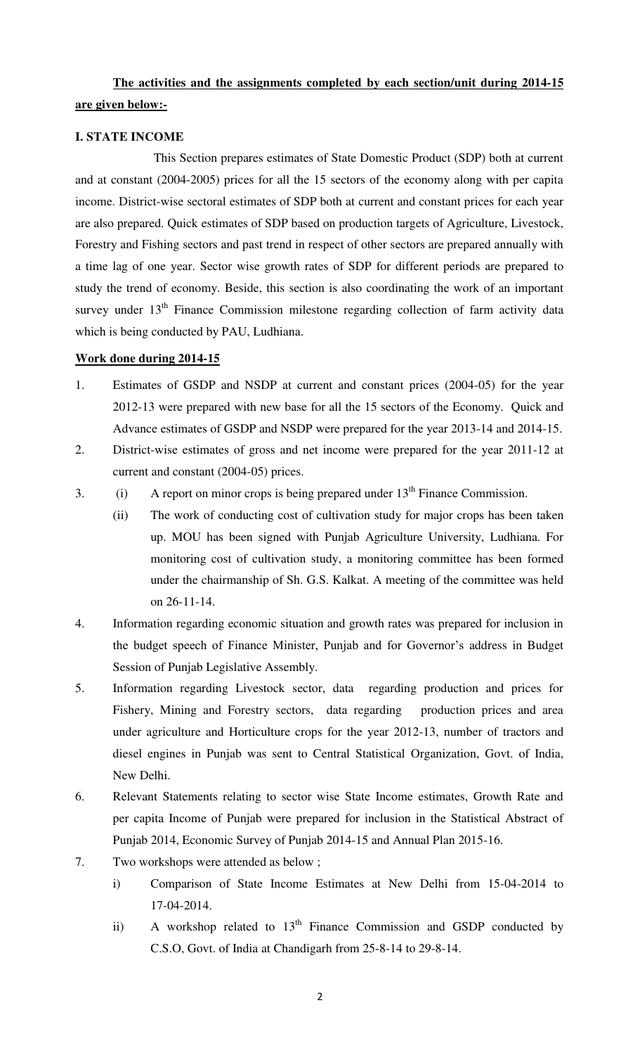## **The activities and the assignments completed by each section/unit during 2014-15 are given below:-**

### **I. STATE INCOME**

 This Section prepares estimates of State Domestic Product (SDP) both at current and at constant (2004-2005) prices for all the 15 sectors of the economy along with per capita income. District-wise sectoral estimates of SDP both at current and constant prices for each year are also prepared. Quick estimates of SDP based on production targets of Agriculture, Livestock, Forestry and Fishing sectors and past trend in respect of other sectors are prepared annually with a time lag of one year. Sector wise growth rates of SDP for different periods are prepared to study the trend of economy. Beside, this section is also coordinating the work of an important survey under  $13<sup>th</sup>$  Finance Commission milestone regarding collection of farm activity data which is being conducted by PAU, Ludhiana.

#### **Work done during 2014-15**

- 1. Estimates of GSDP and NSDP at current and constant prices (2004-05) for the year 2012-13 were prepared with new base for all the 15 sectors of the Economy. Quick and Advance estimates of GSDP and NSDP were prepared for the year 2013-14 and 2014-15.
- 2. District-wise estimates of gross and net income were prepared for the year 2011-12 at current and constant (2004-05) prices.
- 3. (i) A report on minor crops is being prepared under  $13<sup>th</sup>$  Finance Commission.
	- (ii) The work of conducting cost of cultivation study for major crops has been taken up. MOU has been signed with Punjab Agriculture University, Ludhiana. For monitoring cost of cultivation study, a monitoring committee has been formed under the chairmanship of Sh. G.S. Kalkat. A meeting of the committee was held on 26-11-14.
- 4. Information regarding economic situation and growth rates was prepared for inclusion in the budget speech of Finance Minister, Punjab and for Governor's address in Budget Session of Punjab Legislative Assembly.
- 5. Information regarding Livestock sector, data regarding production and prices for Fishery, Mining and Forestry sectors, data regarding production prices and area under agriculture and Horticulture crops for the year 2012-13, number of tractors and diesel engines in Punjab was sent to Central Statistical Organization, Govt. of India, New Delhi.
- 6. Relevant Statements relating to sector wise State Income estimates, Growth Rate and per capita Income of Punjab were prepared for inclusion in the Statistical Abstract of Punjab 2014, Economic Survey of Punjab 2014-15 and Annual Plan 2015-16.
- 7. Two workshops were attended as below ;
	- i) Comparison of State Income Estimates at New Delhi from 15-04-2014 to 17-04-2014.
	- ii) A workshop related to  $13<sup>th</sup>$  Finance Commission and GSDP conducted by C.S.O, Govt. of India at Chandigarh from 25-8-14 to 29-8-14.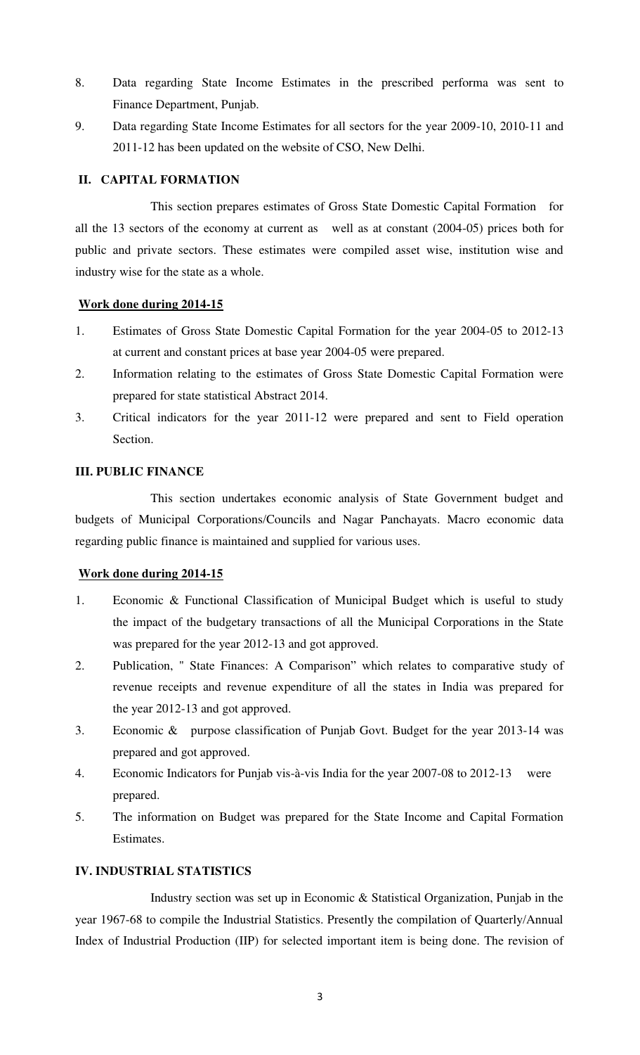- 8. Data regarding State Income Estimates in the prescribed performa was sent to Finance Department, Punjab.
- 9. Data regarding State Income Estimates for all sectors for the year 2009-10, 2010-11 and 2011-12 has been updated on the website of CSO, New Delhi.

### **II. CAPITAL FORMATION**

 This section prepares estimates of Gross State Domestic Capital Formation for all the 13 sectors of the economy at current as well as at constant (2004-05) prices both for public and private sectors. These estimates were compiled asset wise, institution wise and industry wise for the state as a whole.

### **Work done during 2014-15**

- 1. Estimates of Gross State Domestic Capital Formation for the year 2004-05 to 2012-13 at current and constant prices at base year 2004-05 were prepared.
- 2. Information relating to the estimates of Gross State Domestic Capital Formation were prepared for state statistical Abstract 2014.
- 3. Critical indicators for the year 2011-12 were prepared and sent to Field operation Section.

### **III. PUBLIC FINANCE**

 This section undertakes economic analysis of State Government budget and budgets of Municipal Corporations/Councils and Nagar Panchayats. Macro economic data regarding public finance is maintained and supplied for various uses.

## **Work done during 2014-15**

- 1. Economic & Functional Classification of Municipal Budget which is useful to study the impact of the budgetary transactions of all the Municipal Corporations in the State was prepared for the year 2012-13 and got approved.
- 2. Publication, " State Finances: A Comparison" which relates to comparative study of revenue receipts and revenue expenditure of all the states in India was prepared for the year 2012-13 and got approved.
- 3. Economic & purpose classification of Punjab Govt. Budget for the year 2013-14 was prepared and got approved.
- 4. Economic Indicators for Punjab vis-à-vis India for the year 2007-08 to 2012-13 were prepared.
- 5. The information on Budget was prepared for the State Income and Capital Formation Estimates.

## **IV. INDUSTRIAL STATISTICS**

 Industry section was set up in Economic & Statistical Organization, Punjab in the year 1967-68 to compile the Industrial Statistics. Presently the compilation of Quarterly/Annual Index of Industrial Production (IIP) for selected important item is being done. The revision of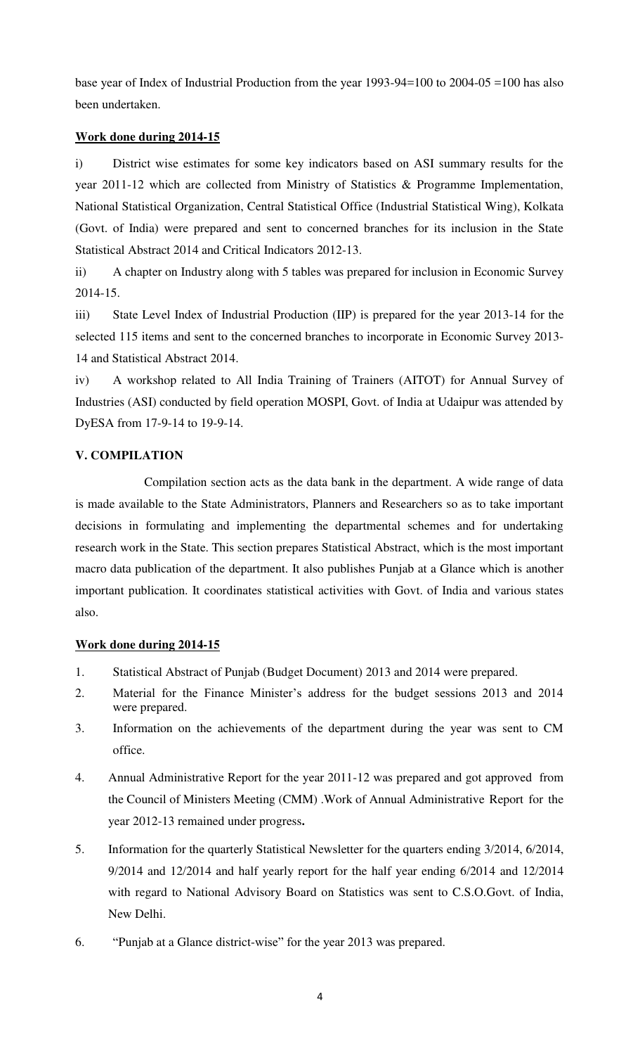base year of Index of Industrial Production from the year 1993-94=100 to 2004-05 =100 has also been undertaken.

## **Work done during 2014-15**

i) District wise estimates for some key indicators based on ASI summary results for the year 2011-12 which are collected from Ministry of Statistics & Programme Implementation, National Statistical Organization, Central Statistical Office (Industrial Statistical Wing), Kolkata (Govt. of India) were prepared and sent to concerned branches for its inclusion in the State Statistical Abstract 2014 and Critical Indicators 2012-13.

ii) A chapter on Industry along with 5 tables was prepared for inclusion in Economic Survey 2014-15.

iii) State Level Index of Industrial Production (IIP) is prepared for the year 2013-14 for the selected 115 items and sent to the concerned branches to incorporate in Economic Survey 2013- 14 and Statistical Abstract 2014.

iv) A workshop related to All India Training of Trainers (AITOT) for Annual Survey of Industries (ASI) conducted by field operation MOSPI, Govt. of India at Udaipur was attended by DyESA from 17-9-14 to 19-9-14.

## **V. COMPILATION**

 Compilation section acts as the data bank in the department. A wide range of data is made available to the State Administrators, Planners and Researchers so as to take important decisions in formulating and implementing the departmental schemes and for undertaking research work in the State. This section prepares Statistical Abstract, which is the most important macro data publication of the department. It also publishes Punjab at a Glance which is another important publication. It coordinates statistical activities with Govt. of India and various states also.

### **Work done during 2014-15**

- 1. Statistical Abstract of Punjab (Budget Document) 2013 and 2014 were prepared.
- 2. Material for the Finance Minister's address for the budget sessions 2013 and 2014 were prepared.
- 3. Information on the achievements of the department during the year was sent to CM office.
- 4. Annual Administrative Report for the year 2011-12 was prepared and got approved from the Council of Ministers Meeting (CMM) .Work of Annual Administrative Report for the year 2012-13 remained under progress**.**
- 5. Information for the quarterly Statistical Newsletter for the quarters ending 3/2014, 6/2014, 9/2014 and 12/2014 and half yearly report for the half year ending 6/2014 and 12/2014 with regard to National Advisory Board on Statistics was sent to C.S.O.Govt. of India, New Delhi.
- 6. "Punjab at a Glance district-wise" for the year 2013 was prepared.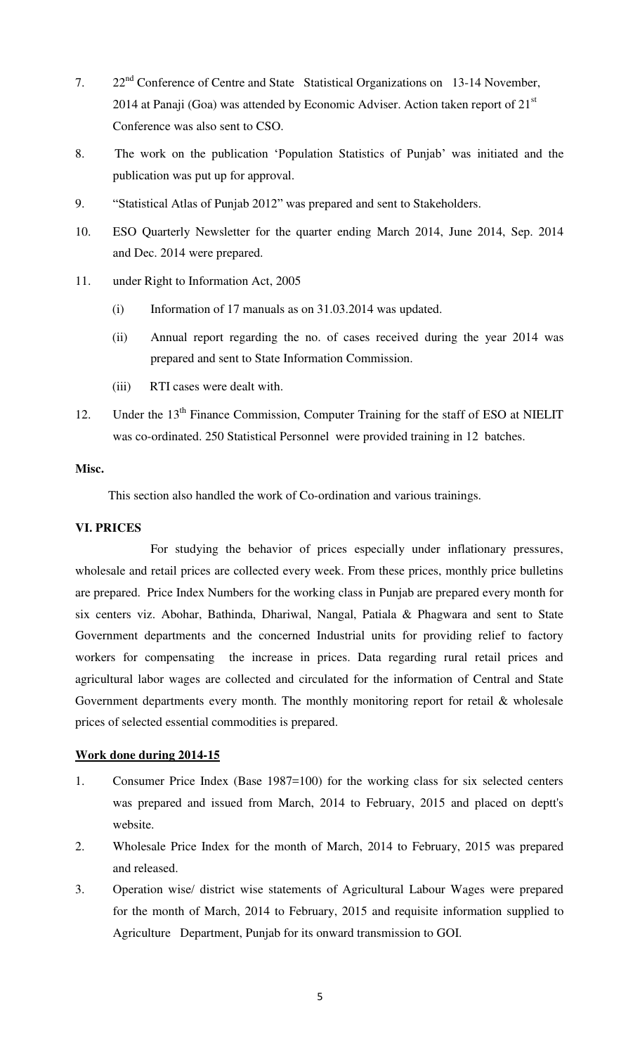- 7. 22<sup>nd</sup> Conference of Centre and State Statistical Organizations on 13-14 November, 2014 at Panaji (Goa) was attended by Economic Adviser. Action taken report of  $21<sup>st</sup>$ Conference was also sent to CSO.
- 8. The work on the publication 'Population Statistics of Punjab' was initiated and the publication was put up for approval.
- 9. "Statistical Atlas of Punjab 2012" was prepared and sent to Stakeholders.
- 10. ESO Quarterly Newsletter for the quarter ending March 2014, June 2014, Sep. 2014 and Dec. 2014 were prepared.
- 11. under Right to Information Act, 2005
	- (i) Information of 17 manuals as on 31.03.2014 was updated.
	- (ii) Annual report regarding the no. of cases received during the year 2014 was prepared and sent to State Information Commission.
	- (iii) RTI cases were dealt with.
- 12. Under the 13<sup>th</sup> Finance Commission, Computer Training for the staff of ESO at NIELIT was co-ordinated. 250 Statistical Personnel were provided training in 12 batches.

### **Misc.**

This section also handled the work of Co-ordination and various trainings.

#### **VI. PRICES**

 For studying the behavior of prices especially under inflationary pressures, wholesale and retail prices are collected every week. From these prices, monthly price bulletins are prepared. Price Index Numbers for the working class in Punjab are prepared every month for six centers viz. Abohar, Bathinda, Dhariwal, Nangal, Patiala & Phagwara and sent to State Government departments and the concerned Industrial units for providing relief to factory workers for compensating the increase in prices. Data regarding rural retail prices and agricultural labor wages are collected and circulated for the information of Central and State Government departments every month. The monthly monitoring report for retail & wholesale prices of selected essential commodities is prepared.

### **Work done during 2014-15**

- 1. Consumer Price Index (Base 1987=100) for the working class for six selected centers was prepared and issued from March, 2014 to February, 2015 and placed on deptt's website.
- 2. Wholesale Price Index for the month of March, 2014 to February, 2015 was prepared and released.
- 3. Operation wise/ district wise statements of Agricultural Labour Wages were prepared for the month of March, 2014 to February, 2015 and requisite information supplied to Agriculture Department, Punjab for its onward transmission to GOI.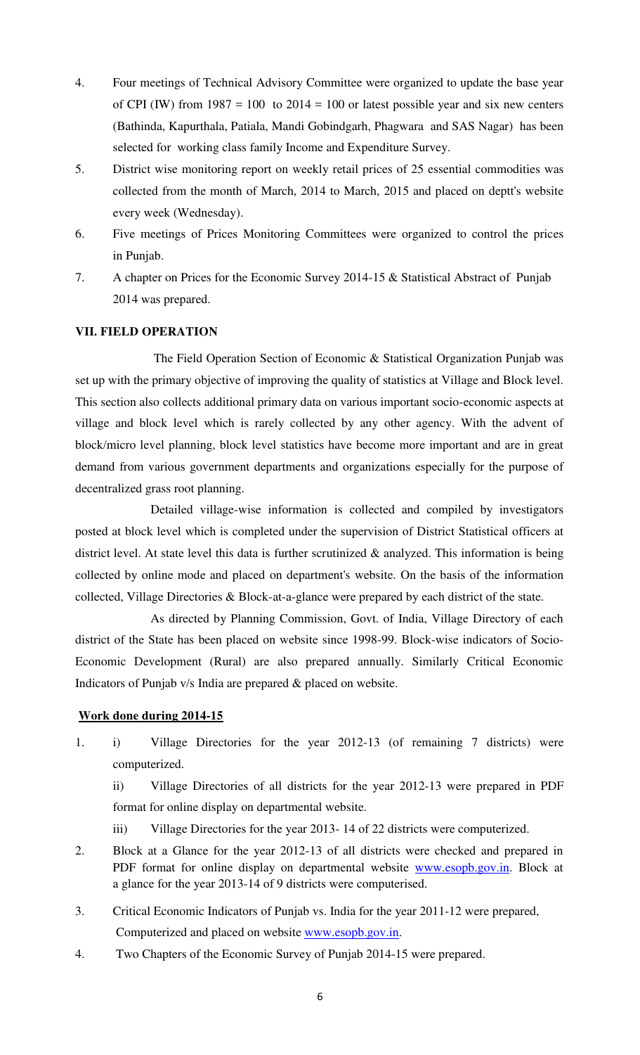- 4. Four meetings of Technical Advisory Committee were organized to update the base year of CPI (IW) from  $1987 = 100$  to  $2014 = 100$  or latest possible year and six new centers (Bathinda, Kapurthala, Patiala, Mandi Gobindgarh, Phagwara and SAS Nagar) has been selected for working class family Income and Expenditure Survey.
- 5. District wise monitoring report on weekly retail prices of 25 essential commodities was collected from the month of March, 2014 to March, 2015 and placed on deptt's website every week (Wednesday).
- 6. Five meetings of Prices Monitoring Committees were organized to control the prices in Punjab.
- 7. A chapter on Prices for the Economic Survey 2014-15 & Statistical Abstract of Punjab 2014 was prepared.

## **VII. FIELD OPERATION**

 The Field Operation Section of Economic & Statistical Organization Punjab was set up with the primary objective of improving the quality of statistics at Village and Block level. This section also collects additional primary data on various important socio-economic aspects at village and block level which is rarely collected by any other agency. With the advent of block/micro level planning, block level statistics have become more important and are in great demand from various government departments and organizations especially for the purpose of decentralized grass root planning.

 Detailed village-wise information is collected and compiled by investigators posted at block level which is completed under the supervision of District Statistical officers at district level. At state level this data is further scrutinized  $\&$  analyzed. This information is being collected by online mode and placed on department's website. On the basis of the information collected, Village Directories & Block-at-a-glance were prepared by each district of the state.

 As directed by Planning Commission, Govt. of India, Village Directory of each district of the State has been placed on website since 1998-99. Block-wise indicators of Socio-Economic Development (Rural) are also prepared annually. Similarly Critical Economic Indicators of Punjab v/s India are prepared & placed on website.

#### **Work done during 2014-15**

1. i) Village Directories for the year 2012-13 (of remaining 7 districts) were computerized.

ii) Village Directories of all districts for the year 2012-13 were prepared in PDF format for online display on departmental website.

- iii) Village Directories for the year 2013- 14 of 22 districts were computerized.
- 2. Block at a Glance for the year 2012-13 of all districts were checked and prepared in PDF format for online display on departmental website [www.esopb.gov.in.](http://www.esopb.gov.in/) Block at a glance for the year 2013-14 of 9 districts were computerised.
- 3. Critical Economic Indicators of Punjab vs. India for the year 2011-12 were prepared, Computerized and placed on website [www.esopb.gov.in.](http://www.esopb.gov.in/)
- 4. Two Chapters of the Economic Survey of Punjab 2014-15 were prepared.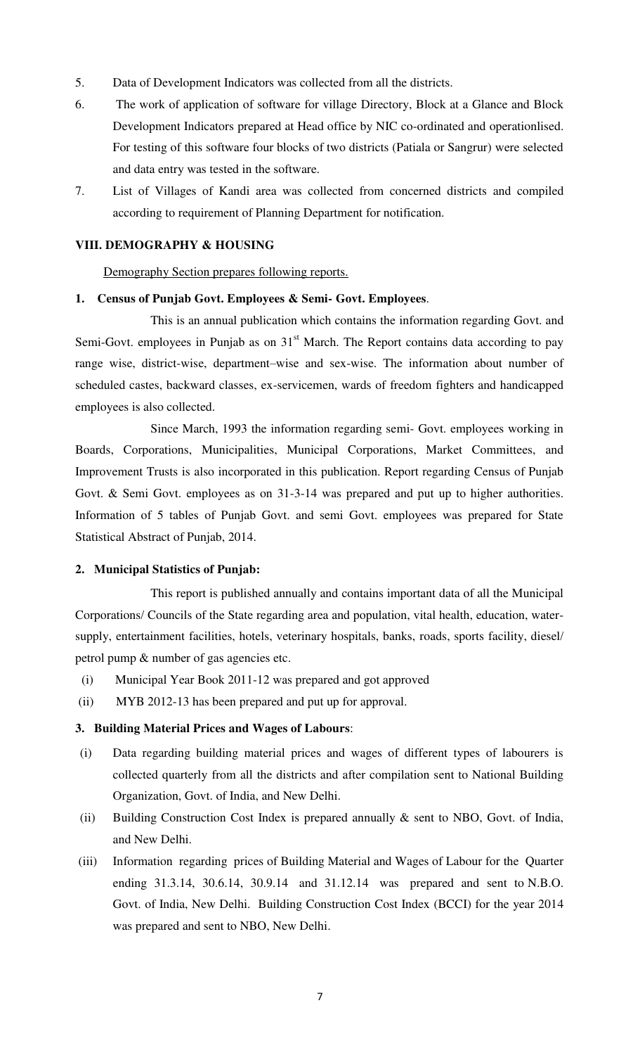- 5. Data of Development Indicators was collected from all the districts.
- 6. The work of application of software for village Directory, Block at a Glance and Block Development Indicators prepared at Head office by NIC co-ordinated and operationlised. For testing of this software four blocks of two districts (Patiala or Sangrur) were selected and data entry was tested in the software.
- 7. List of Villages of Kandi area was collected from concerned districts and compiled according to requirement of Planning Department for notification.

## **VIII. DEMOGRAPHY & HOUSING**

Demography Section prepares following reports.

#### **1. Census of Punjab Govt. Employees & Semi- Govt. Employees**.

 This is an annual publication which contains the information regarding Govt. and Semi-Govt. employees in Punjab as on  $31<sup>st</sup>$  March. The Report contains data according to pay range wise, district-wise, department–wise and sex-wise. The information about number of scheduled castes, backward classes, ex-servicemen, wards of freedom fighters and handicapped employees is also collected.

 Since March, 1993 the information regarding semi- Govt. employees working in Boards, Corporations, Municipalities, Municipal Corporations, Market Committees, and Improvement Trusts is also incorporated in this publication. Report regarding Census of Punjab Govt. & Semi Govt. employees as on 31-3-14 was prepared and put up to higher authorities. Information of 5 tables of Punjab Govt. and semi Govt. employees was prepared for State Statistical Abstract of Punjab, 2014.

#### **2. Municipal Statistics of Punjab:**

 This report is published annually and contains important data of all the Municipal Corporations/ Councils of the State regarding area and population, vital health, education, watersupply, entertainment facilities, hotels, veterinary hospitals, banks, roads, sports facility, diesel/ petrol pump & number of gas agencies etc.

- (i) Municipal Year Book 2011-12 was prepared and got approved
- (ii) MYB 2012-13 has been prepared and put up for approval.

#### **3. Building Material Prices and Wages of Labours**:

- (i) Data regarding building material prices and wages of different types of labourers is collected quarterly from all the districts and after compilation sent to National Building Organization, Govt. of India, and New Delhi.
- (ii) Building Construction Cost Index is prepared annually & sent to NBO, Govt. of India, and New Delhi.
- (iii) Information regarding prices of Building Material and Wages of Labour for the Quarter ending 31.3.14, 30.6.14, 30.9.14 and 31.12.14 was prepared and sent to N.B.O. Govt. of India, New Delhi. Building Construction Cost Index (BCCI) for the year 2014 was prepared and sent to NBO, New Delhi.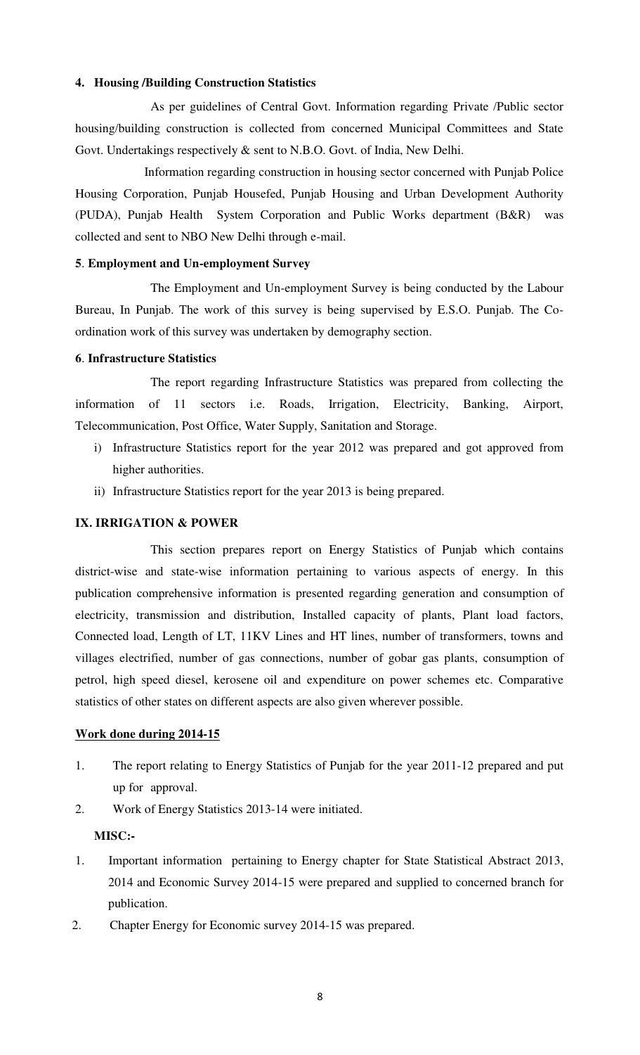### **4. Housing /Building Construction Statistics**

 As per guidelines of Central Govt. Information regarding Private /Public sector housing/building construction is collected from concerned Municipal Committees and State Govt. Undertakings respectively & sent to N.B.O. Govt. of India, New Delhi.

 Information regarding construction in housing sector concerned with Punjab Police Housing Corporation, Punjab Housefed, Punjab Housing and Urban Development Authority (PUDA), Punjab Health System Corporation and Public Works department (B&R) was collected and sent to NBO New Delhi through e-mail.

#### **5**. **Employment and Un-employment Survey**

 The Employment and Un-employment Survey is being conducted by the Labour Bureau, In Punjab. The work of this survey is being supervised by E.S.O. Punjab. The Coordination work of this survey was undertaken by demography section.

#### **6**. **Infrastructure Statistics**

The report regarding Infrastructure Statistics was prepared from collecting the information of 11 sectors i.e. Roads, Irrigation, Electricity, Banking, Airport, Telecommunication, Post Office, Water Supply, Sanitation and Storage.

- i) Infrastructure Statistics report for the year 2012 was prepared and got approved from higher authorities.
- ii) Infrastructure Statistics report for the year 2013 is being prepared.

#### **IX. IRRIGATION & POWER**

 This section prepares report on Energy Statistics of Punjab which contains district-wise and state-wise information pertaining to various aspects of energy. In this publication comprehensive information is presented regarding generation and consumption of electricity, transmission and distribution, Installed capacity of plants, Plant load factors, Connected load, Length of LT, 11KV Lines and HT lines, number of transformers, towns and villages electrified, number of gas connections, number of gobar gas plants, consumption of petrol, high speed diesel, kerosene oil and expenditure on power schemes etc. Comparative statistics of other states on different aspects are also given wherever possible.

### **Work done during 2014-15**

- 1. The report relating to Energy Statistics of Punjab for the year 2011-12 prepared and put up for approval.
- 2. Work of Energy Statistics 2013-14 were initiated.

#### **MISC:-**

- 1. Important information pertaining to Energy chapter for State Statistical Abstract 2013, 2014 and Economic Survey 2014-15 were prepared and supplied to concerned branch for publication.
- 2. Chapter Energy for Economic survey 2014-15 was prepared.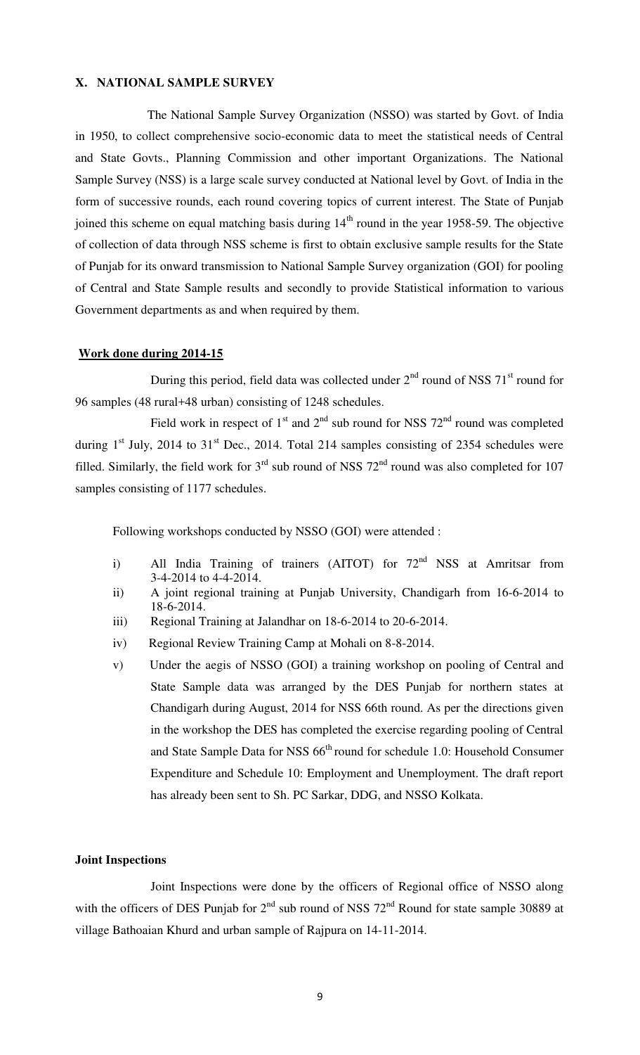#### **X. NATIONAL SAMPLE SURVEY**

 The National Sample Survey Organization (NSSO) was started by Govt. of India in 1950, to collect comprehensive socio-economic data to meet the statistical needs of Central and State Govts., Planning Commission and other important Organizations. The National Sample Survey (NSS) is a large scale survey conducted at National level by Govt. of India in the form of successive rounds, each round covering topics of current interest. The State of Punjab joined this scheme on equal matching basis during  $14<sup>th</sup>$  round in the year 1958-59. The objective of collection of data through NSS scheme is first to obtain exclusive sample results for the State of Punjab for its onward transmission to National Sample Survey organization (GOI) for pooling of Central and State Sample results and secondly to provide Statistical information to various Government departments as and when required by them.

#### **Work done during 2014-15**

During this period, field data was collected under  $2<sup>nd</sup>$  round of NSS  $71<sup>st</sup>$  round for 96 samples (48 rural+48 urban) consisting of 1248 schedules.

Field work in respect of  $1<sup>st</sup>$  and  $2<sup>nd</sup>$  sub round for NSS  $72<sup>nd</sup>$  round was completed during  $1<sup>st</sup>$  July, 2014 to 31<sup>st</sup> Dec., 2014. Total 214 samples consisting of 2354 schedules were filled. Similarly, the field work for  $3<sup>rd</sup>$  sub round of NSS  $72<sup>nd</sup>$  round was also completed for 107 samples consisting of 1177 schedules.

Following workshops conducted by NSSO (GOI) were attended :

- i) All India Training of trainers (AITOT) for 72<sup>nd</sup> NSS at Amritsar from 3-4-2014 to 4-4-2014.
- ii) A joint regional training at Punjab University, Chandigarh from 16-6-2014 to 18-6-2014.
- iii) Regional Training at Jalandhar on 18-6-2014 to 20-6-2014.
- iv) Regional Review Training Camp at Mohali on 8-8-2014.
- v) Under the aegis of NSSO (GOI) a training workshop on pooling of Central and State Sample data was arranged by the DES Punjab for northern states at Chandigarh during August, 2014 for NSS 66th round. As per the directions given in the workshop the DES has completed the exercise regarding pooling of Central and State Sample Data for NSS  $66<sup>th</sup>$  round for schedule 1.0: Household Consumer Expenditure and Schedule 10: Employment and Unemployment. The draft report has already been sent to Sh. PC Sarkar, DDG, and NSSO Kolkata.

#### **Joint Inspections**

 Joint Inspections were done by the officers of Regional office of NSSO along with the officers of DES Punjab for  $2<sup>nd</sup>$  sub round of NSS  $72<sup>nd</sup>$  Round for state sample 30889 at village Bathoaian Khurd and urban sample of Rajpura on 14-11-2014.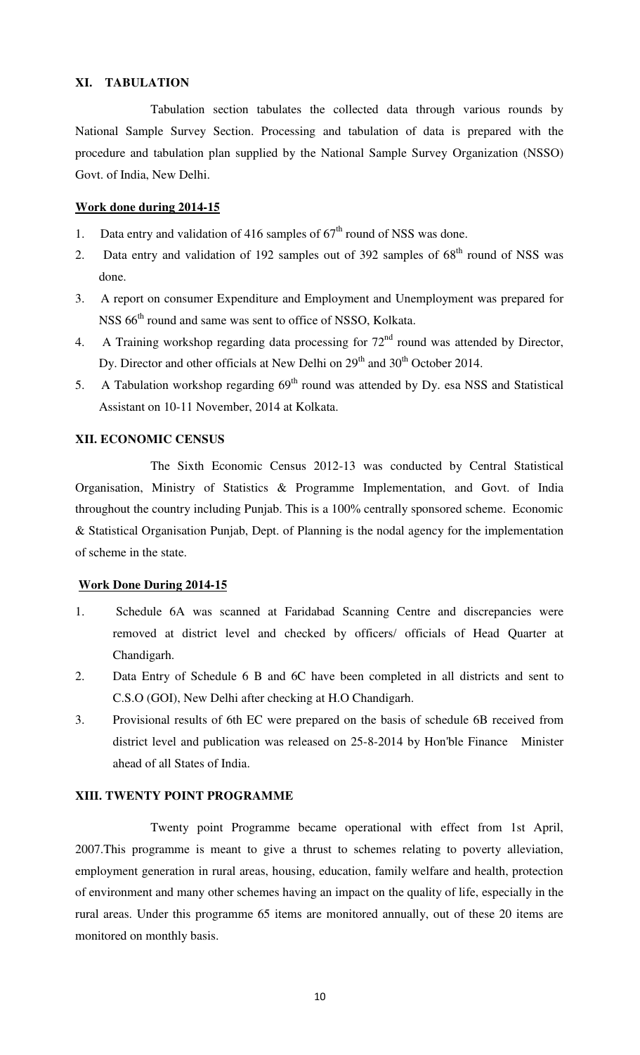### **XI. TABULATION**

 Tabulation section tabulates the collected data through various rounds by National Sample Survey Section. Processing and tabulation of data is prepared with the procedure and tabulation plan supplied by the National Sample Survey Organization (NSSO) Govt. of India, New Delhi.

### **Work done during 2014-15**

- 1. Data entry and validation of 416 samples of  $67<sup>th</sup>$  round of NSS was done.
- 2. Data entry and validation of 192 samples out of 392 samples of  $68<sup>th</sup>$  round of NSS was done.
- 3. A report on consumer Expenditure and Employment and Unemployment was prepared for NSS  $66<sup>th</sup>$  round and same was sent to office of NSSO, Kolkata.
- 4. A Training workshop regarding data processing for  $72<sup>nd</sup>$  round was attended by Director, Dy. Director and other officials at New Delhi on  $29<sup>th</sup>$  and  $30<sup>th</sup>$  October 2014.
- 5. A Tabulation workshop regarding  $69<sup>th</sup>$  round was attended by Dy. esa NSS and Statistical Assistant on 10-11 November, 2014 at Kolkata.

### **XII. ECONOMIC CENSUS**

 The Sixth Economic Census 2012-13 was conducted by Central Statistical Organisation, Ministry of Statistics & Programme Implementation, and Govt. of India throughout the country including Punjab. This is a 100% centrally sponsored scheme. Economic & Statistical Organisation Punjab, Dept. of Planning is the nodal agency for the implementation of scheme in the state.

#### **Work Done During 2014-15**

- 1. Schedule 6A was scanned at Faridabad Scanning Centre and discrepancies were removed at district level and checked by officers/ officials of Head Quarter at Chandigarh.
- 2. Data Entry of Schedule 6 B and 6C have been completed in all districts and sent to C.S.O (GOI), New Delhi after checking at H.O Chandigarh.
- 3. Provisional results of 6th EC were prepared on the basis of schedule 6B received from district level and publication was released on 25-8-2014 by Hon'ble Finance Minister ahead of all States of India.

#### **XIII. TWENTY POINT PROGRAMME**

 Twenty point Programme became operational with effect from 1st April, 2007.This programme is meant to give a thrust to schemes relating to poverty alleviation, employment generation in rural areas, housing, education, family welfare and health, protection of environment and many other schemes having an impact on the quality of life, especially in the rural areas. Under this programme 65 items are monitored annually, out of these 20 items are monitored on monthly basis.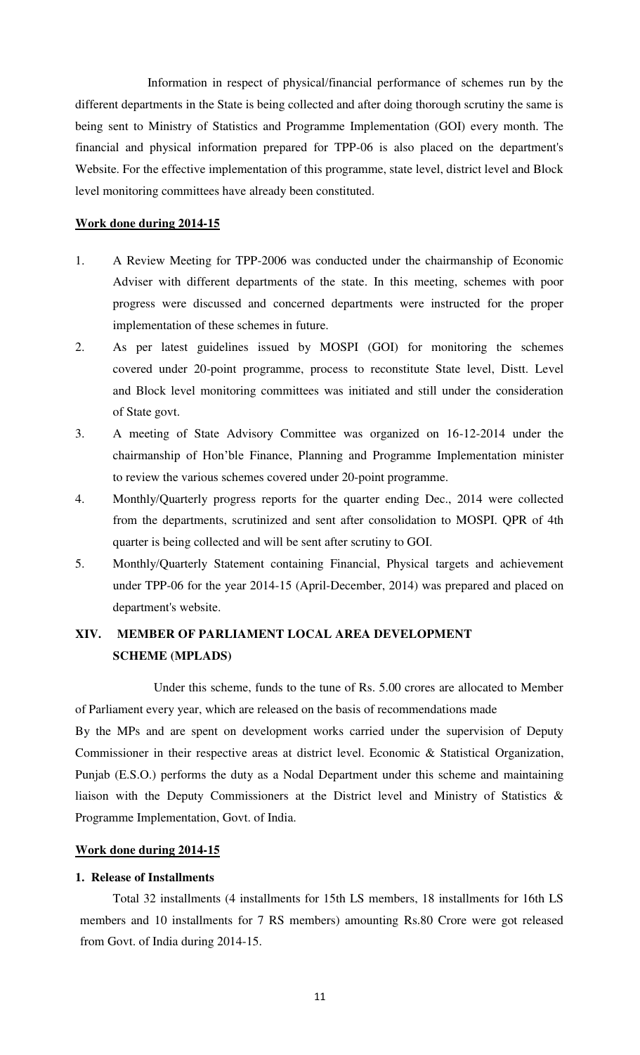Information in respect of physical/financial performance of schemes run by the different departments in the State is being collected and after doing thorough scrutiny the same is being sent to Ministry of Statistics and Programme Implementation (GOI) every month. The financial and physical information prepared for TPP-06 is also placed on the department's Website. For the effective implementation of this programme, state level, district level and Block level monitoring committees have already been constituted.

#### **Work done during 2014-15**

- 1. A Review Meeting for TPP-2006 was conducted under the chairmanship of Economic Adviser with different departments of the state. In this meeting, schemes with poor progress were discussed and concerned departments were instructed for the proper implementation of these schemes in future.
- 2. As per latest guidelines issued by MOSPI (GOI) for monitoring the schemes covered under 20-point programme, process to reconstitute State level, Distt. Level and Block level monitoring committees was initiated and still under the consideration of State govt.
- 3. A meeting of State Advisory Committee was organized on 16-12-2014 under the chairmanship of Hon'ble Finance, Planning and Programme Implementation minister to review the various schemes covered under 20-point programme.
- 4. Monthly/Quarterly progress reports for the quarter ending Dec., 2014 were collected from the departments, scrutinized and sent after consolidation to MOSPI. QPR of 4th quarter is being collected and will be sent after scrutiny to GOI.
- 5. Monthly/Quarterly Statement containing Financial, Physical targets and achievement under TPP-06 for the year 2014-15 (April-December, 2014) was prepared and placed on department's website.

## **XIV. MEMBER OF PARLIAMENT LOCAL AREA DEVELOPMENT SCHEME (MPLADS)**

 Under this scheme, funds to the tune of Rs. 5.00 crores are allocated to Member of Parliament every year, which are released on the basis of recommendations made

By the MPs and are spent on development works carried under the supervision of Deputy Commissioner in their respective areas at district level. Economic & Statistical Organization, Punjab (E.S.O.) performs the duty as a Nodal Department under this scheme and maintaining liaison with the Deputy Commissioners at the District level and Ministry of Statistics & Programme Implementation, Govt. of India.

## **Work done during 2014-15**

## **1. Release of Installments**

 Total 32 installments (4 installments for 15th LS members, 18 installments for 16th LS members and 10 installments for 7 RS members) amounting Rs.80 Crore were got released from Govt. of India during 2014-15.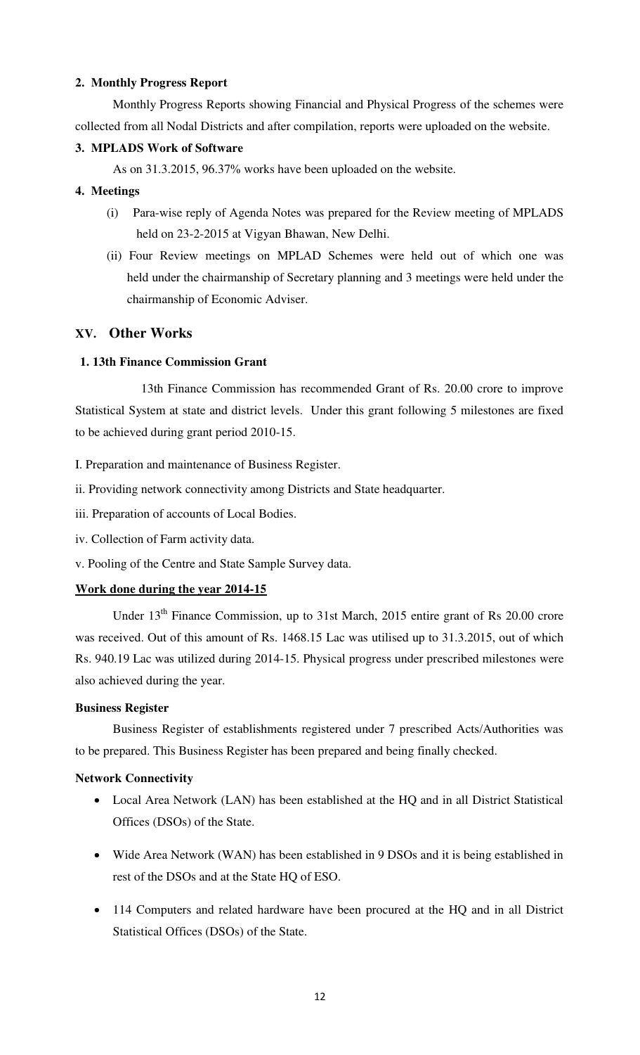## **2. Monthly Progress Report**

 Monthly Progress Reports showing Financial and Physical Progress of the schemes were collected from all Nodal Districts and after compilation, reports were uploaded on the website.

## **3. MPLADS Work of Software**

As on 31.3.2015, 96.37% works have been uploaded on the website.

## **4. Meetings**

- (i) Para-wise reply of Agenda Notes was prepared for the Review meeting of MPLADS held on 23-2-2015 at Vigyan Bhawan, New Delhi.
- (ii) Four Review meetings on MPLAD Schemes were held out of which one was held under the chairmanship of Secretary planning and 3 meetings were held under the chairmanship of Economic Adviser.

## **XV. Other Works**

## **1. 13th Finance Commission Grant**

 13th Finance Commission has recommended Grant of Rs. 20.00 crore to improve Statistical System at state and district levels. Under this grant following 5 milestones are fixed to be achieved during grant period 2010-15.

I. Preparation and maintenance of Business Register.

- ii. Providing network connectivity among Districts and State headquarter.
- iii. Preparation of accounts of Local Bodies.
- iv. Collection of Farm activity data.
- v. Pooling of the Centre and State Sample Survey data.

### **Work done during the year 2014-15**

Under 13<sup>th</sup> Finance Commission, up to 31st March, 2015 entire grant of Rs 20.00 crore was received. Out of this amount of Rs. 1468.15 Lac was utilised up to 31.3.2015, out of which Rs. 940.19 Lac was utilized during 2014-15. Physical progress under prescribed milestones were also achieved during the year.

### **Business Register**

Business Register of establishments registered under 7 prescribed Acts/Authorities was to be prepared. This Business Register has been prepared and being finally checked.

### **Network Connectivity**

- Local Area Network (LAN) has been established at the HQ and in all District Statistical Offices (DSOs) of the State.
- Wide Area Network (WAN) has been established in 9 DSOs and it is being established in rest of the DSOs and at the State HQ of ESO.
- 114 Computers and related hardware have been procured at the HQ and in all District Statistical Offices (DSOs) of the State.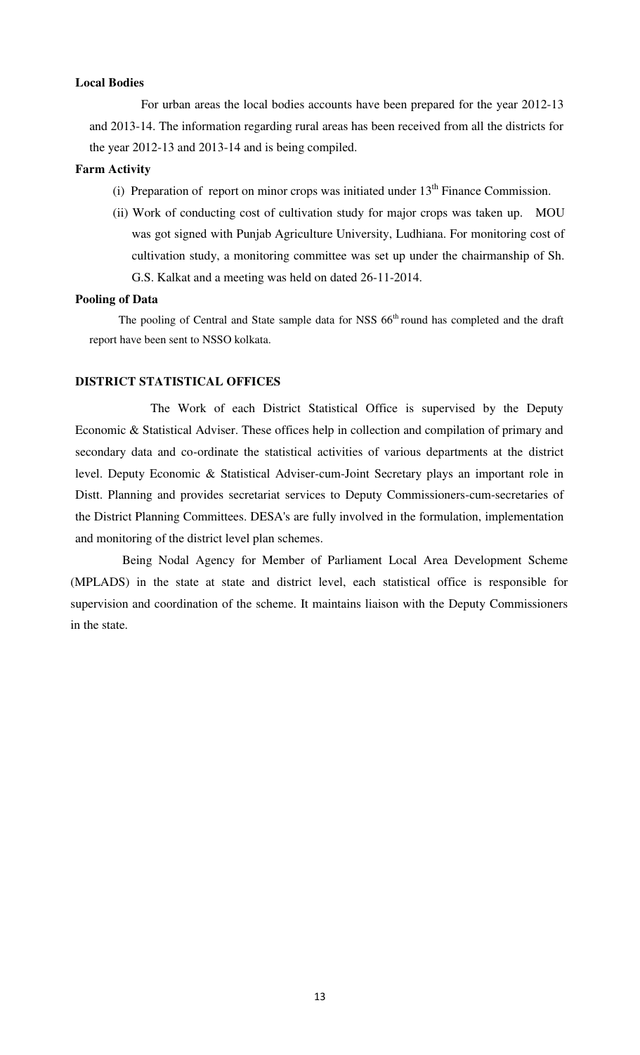#### **Local Bodies**

 For urban areas the local bodies accounts have been prepared for the year 2012-13 and 2013-14. The information regarding rural areas has been received from all the districts for the year 2012-13 and 2013-14 and is being compiled.

#### **Farm Activity**

- (i) Preparation of report on minor crops was initiated under  $13<sup>th</sup>$  Finance Commission.
- (ii) Work of conducting cost of cultivation study for major crops was taken up. MOU was got signed with Punjab Agriculture University, Ludhiana. For monitoring cost of cultivation study, a monitoring committee was set up under the chairmanship of Sh. G.S. Kalkat and a meeting was held on dated 26-11-2014.

#### **Pooling of Data**

The pooling of Central and State sample data for NSS 66<sup>th</sup> round has completed and the draft report have been sent to NSSO kolkata.

#### **DISTRICT STATISTICAL OFFICES**

 The Work of each District Statistical Office is supervised by the Deputy Economic & Statistical Adviser. These offices help in collection and compilation of primary and secondary data and co-ordinate the statistical activities of various departments at the district level. Deputy Economic & Statistical Adviser-cum-Joint Secretary plays an important role in Distt. Planning and provides secretariat services to Deputy Commissioners-cum-secretaries of the District Planning Committees. DESA's are fully involved in the formulation, implementation and monitoring of the district level plan schemes.

 Being Nodal Agency for Member of Parliament Local Area Development Scheme (MPLADS) in the state at state and district level, each statistical office is responsible for supervision and coordination of the scheme. It maintains liaison with the Deputy Commissioners in the state.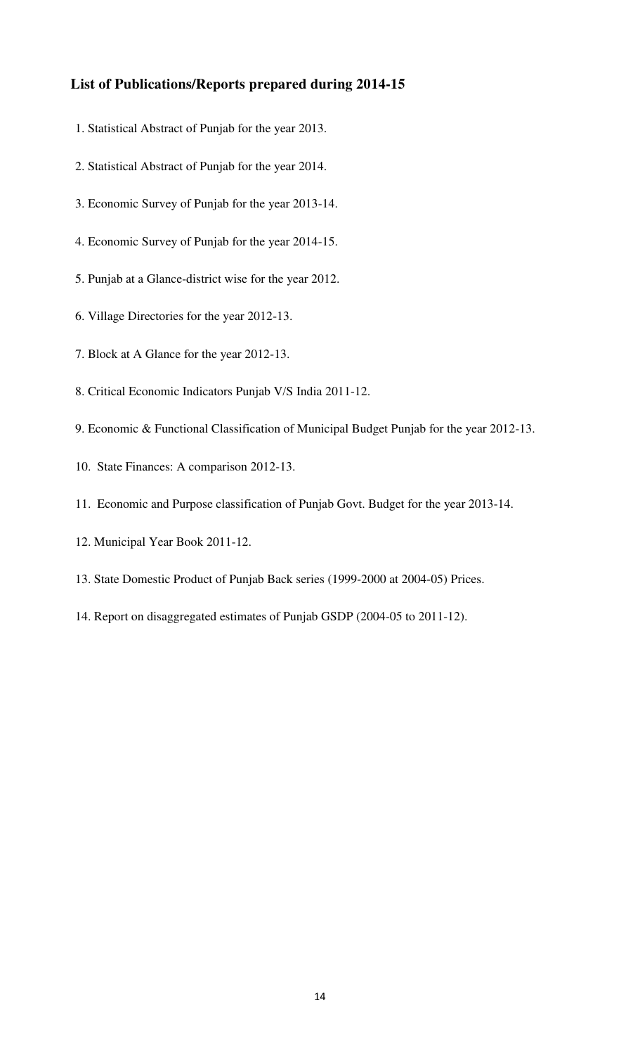## **List of Publications/Reports prepared during 2014-15**

- 1. Statistical Abstract of Punjab for the year 2013.
- 2. Statistical Abstract of Punjab for the year 2014.
- 3. Economic Survey of Punjab for the year 2013-14.
- 4. Economic Survey of Punjab for the year 2014-15.
- 5. Punjab at a Glance-district wise for the year 2012.
- 6. Village Directories for the year 2012-13.
- 7. Block at A Glance for the year 2012-13.
- 8. Critical Economic Indicators Punjab V/S India 2011-12.
- 9. Economic & Functional Classification of Municipal Budget Punjab for the year 2012-13.
- 10. State Finances: A comparison 2012-13.
- 11. Economic and Purpose classification of Punjab Govt. Budget for the year 2013-14.
- 12. Municipal Year Book 2011-12.
- 13. State Domestic Product of Punjab Back series (1999-2000 at 2004-05) Prices.
- 14. Report on disaggregated estimates of Punjab GSDP (2004-05 to 2011-12).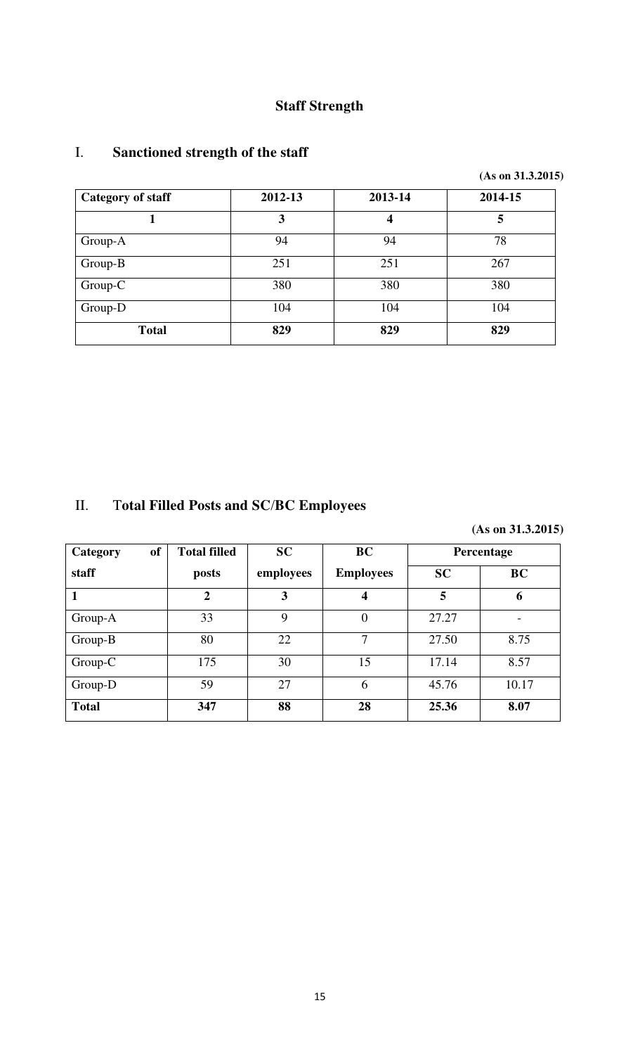# **Staff Strength**

## I. **Sanctioned strength of the staff**

| <b>Category of staff</b> | 2012-13 | 2013-14 | 2014-15 |
|--------------------------|---------|---------|---------|
|                          | 3       | 4       | 5       |
| Group-A                  | 94      | 94      | 78      |
| Group-B                  | 251     | 251     | 267     |
| Group-C                  | 380     | 380     | 380     |
| Group-D                  | 104     | 104     | 104     |
| <b>Total</b>             | 829     | 829     | 829     |

# II. T**otal Filled Posts and SC**/**BC Employees**

 **(As on 31.3.2015)**

| of<br>Category | <b>Total filled</b> | <b>SC</b> | <b>BC</b>        |           | Percentage               |
|----------------|---------------------|-----------|------------------|-----------|--------------------------|
| staff          | posts               | employees | <b>Employees</b> | <b>SC</b> | <b>BC</b>                |
| 1              | $\overline{2}$      | 3         | 4                | 5         | 6                        |
| Group-A        | 33                  | 9         | $\overline{0}$   | 27.27     | $\overline{\phantom{0}}$ |
| Group-B        | 80                  | 22        | 7                | 27.50     | 8.75                     |
| Group-C        | 175                 | 30        | 15               | 17.14     | 8.57                     |
| Group-D        | 59                  | 27        | 6                | 45.76     | 10.17                    |
| <b>Total</b>   | 347                 | 88        | 28               | 25.36     | 8.07                     |

 **(As on 31.3.2015)**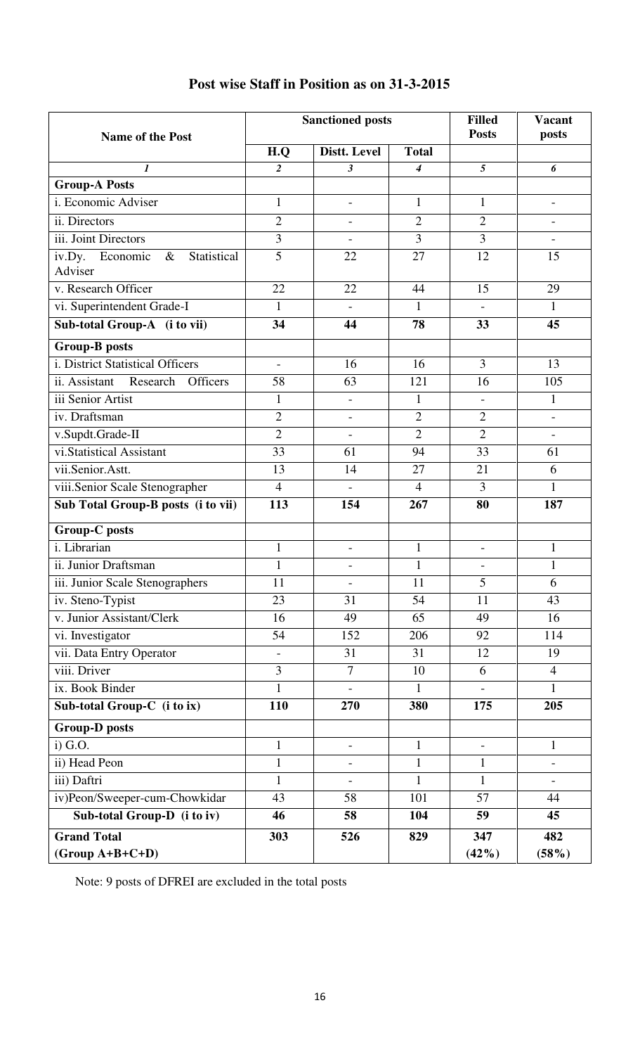|                                                      | <b>Sanctioned posts</b>  |                          |                | <b>Filled</b>            | <b>Vacant</b>            |
|------------------------------------------------------|--------------------------|--------------------------|----------------|--------------------------|--------------------------|
| <b>Name of the Post</b>                              |                          |                          |                | <b>Posts</b>             | posts                    |
|                                                      | H.Q                      | Distt. Level             | <b>Total</b>   |                          |                          |
| $\boldsymbol{l}$                                     | $\overline{c}$           | 3                        | 4              | 5                        | 6                        |
| <b>Group-A Posts</b>                                 |                          |                          |                |                          |                          |
| i. Economic Adviser                                  | $\mathbf{1}$             | $\overline{\phantom{m}}$ | $\mathbf{1}$   | $\mathbf{1}$             | $\overline{\phantom{a}}$ |
| ii. Directors                                        | $\overline{2}$           | $\overline{\phantom{0}}$ | $\overline{2}$ | $\overline{2}$           | $\overline{\phantom{a}}$ |
| iii. Joint Directors                                 | $\overline{3}$           | $\overline{\phantom{0}}$ | $\overline{3}$ | $\overline{3}$           | $\overline{\phantom{a}}$ |
| Statistical<br>Economic<br>$\&$<br>iv.Dy.<br>Adviser | $\overline{5}$           | 22                       | 27             | 12                       | 15                       |
| v. Research Officer                                  | 22                       | 22                       | 44             | 15                       | 29                       |
| vi. Superintendent Grade-I                           | $\mathbf{1}$             |                          | 1              |                          | $\mathbf{1}$             |
| Sub-total Group-A (i to vii)                         | 34                       | 44                       | 78             | 33                       | 45                       |
| <b>Group-B posts</b>                                 |                          |                          |                |                          |                          |
| i. District Statistical Officers                     | $\overline{\phantom{a}}$ | 16                       | 16             | $\overline{3}$           | 13                       |
| Research Officers<br>ii. Assistant                   | 58                       | 63                       | 121            | 16                       | 105                      |
| iii Senior Artist                                    | $\mathbf{1}$             | $\overline{\phantom{0}}$ | $\mathbf{1}$   |                          | $\mathbf{1}$             |
| iv. Draftsman                                        | $\overline{2}$           | $\overline{a}$           | $\overline{2}$ | $\overline{2}$           | $\overline{a}$           |
| v.Supdt.Grade-II                                     | $\overline{2}$           | $\overline{\phantom{0}}$ | $\overline{2}$ | $\overline{2}$           | $\frac{1}{2}$            |
| vi.Statistical Assistant                             | 33                       | 61                       | 94             | 33                       | 61                       |
| vii.Senior.Astt.                                     | 13                       | 14                       | 27             | 21                       | 6                        |
| viii.Senior Scale Stenographer                       | $\overline{4}$           |                          | $\overline{4}$ | 3                        | $\mathbf{1}$             |
| Sub Total Group-B posts (i to vii)                   | 113                      | 154                      | 267            | 80                       | 187                      |
| Group-C posts                                        |                          |                          |                |                          |                          |
| i. Librarian                                         | $\mathbf{1}$             | $\overline{\phantom{0}}$ | $\mathbf{1}$   | $\overline{\phantom{a}}$ | $\mathbf{1}$             |
| ii. Junior Draftsman                                 | $\mathbf{1}$             | $\overline{\phantom{0}}$ | $\mathbf{1}$   | $\overline{\phantom{a}}$ | $\mathbf{1}$             |
| iii. Junior Scale Stenographers                      | 11                       | $\overline{\phantom{0}}$ | $11\,$         | 5                        | 6                        |
| iv. Steno-Typist                                     | 23                       | 31                       | 54             | 11                       | 43                       |
| v. Junior Assistant/Clerk                            | 16                       | 49                       | 65             | 49                       | 16                       |
| vi. Investigator                                     | 54                       | 152                      | 206            | 92                       | 114                      |
| vii. Data Entry Operator                             | $\overline{\phantom{0}}$ | 31                       | 31             | 12                       | 19                       |
| viii. Driver                                         | $\overline{3}$           | $\overline{7}$           | 10             | 6                        | $\overline{4}$           |
| ix. Book Binder                                      | $\mathbf{1}$             |                          | $\mathbf{1}$   |                          | $\mathbf{1}$             |
| Sub-total Group-C (i to ix)                          | 110                      | 270                      | 380            | 175                      | 205                      |
| <b>Group-D</b> posts                                 |                          |                          |                |                          |                          |
| i) G.O.                                              | $\mathbf{1}$             | $\overline{\phantom{0}}$ | $\mathbf{1}$   |                          | $\mathbf{1}$             |
| ii) Head Peon                                        | $\mathbf{1}$             |                          | $\mathbf{1}$   | $\mathbf{1}$             |                          |
| iii) Daftri                                          | $\mathbf{1}$             |                          | $\mathbf{1}$   | $\mathbf{1}$             |                          |
| iv)Peon/Sweeper-cum-Chowkidar                        | 43                       | 58                       | 101            | 57                       | 44                       |
| Sub-total Group-D (i to iv)                          | 46                       | 58                       | 104            | 59                       | 45                       |
| <b>Grand Total</b>                                   | 303                      | 526                      | 829            | 347                      | 482                      |
| $(Group A+B+C+D)$                                    |                          |                          |                | $(42\%)$                 | $(58\%)$                 |

## **Post wise Staff in Position as on 31-3-2015**

Note: 9 posts of DFREI are excluded in the total posts